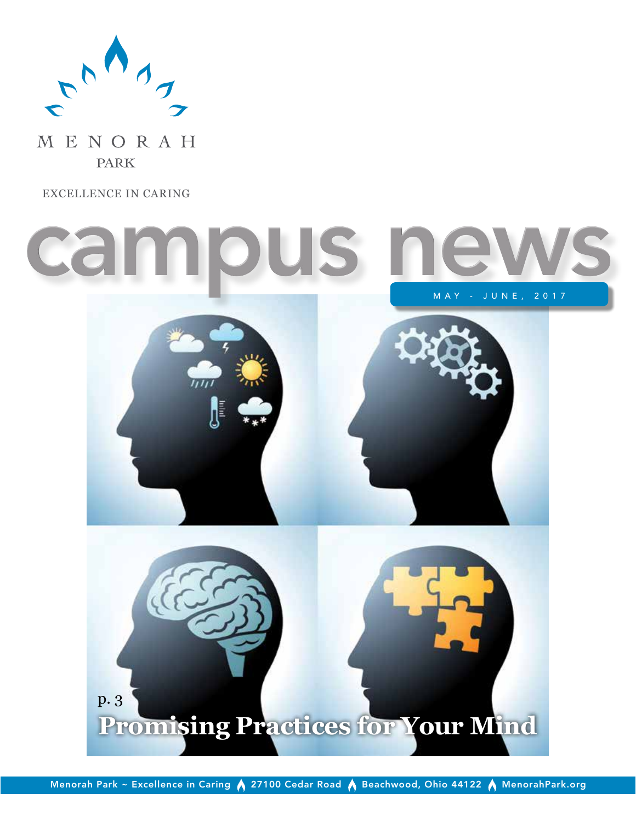

MENORAH **PARK** 

EXCELLENCE IN CARING



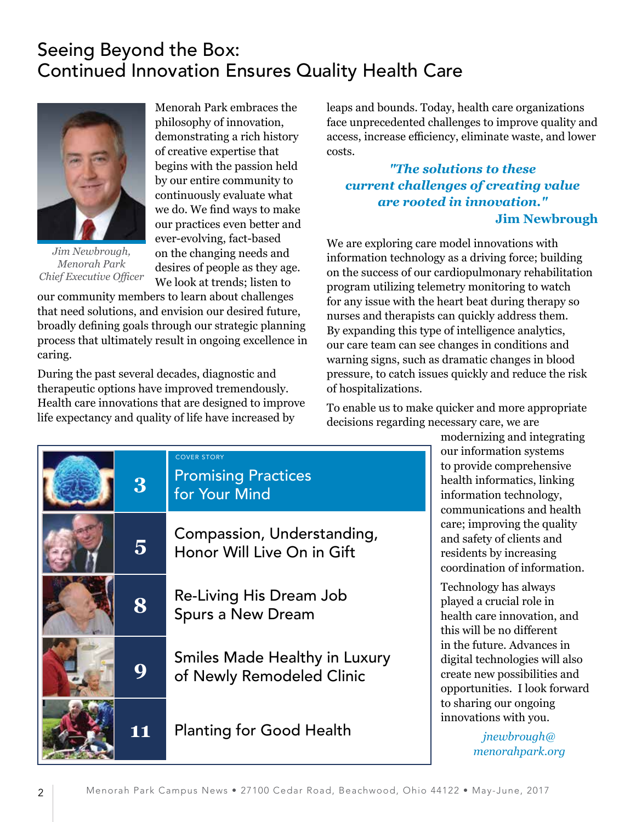# Seeing Beyond the Box: Continued Innovation Ensures Quality Health Care



*Jim Newbrough, Menorah Park Chief Executive Officer*

Menorah Park embraces the philosophy of innovation, demonstrating a rich history of creative expertise that begins with the passion held by our entire community to continuously evaluate what we do. We find ways to make our practices even better and ever-evolving, fact-based on the changing needs and desires of people as they age. We look at trends; listen to

our community members to learn about challenges that need solutions, and envision our desired future, broadly defining goals through our strategic planning process that ultimately result in ongoing excellence in caring.

During the past several decades, diagnostic and therapeutic options have improved tremendously. Health care innovations that are designed to improve life expectancy and quality of life have increased by

leaps and bounds. Today, health care organizations face unprecedented challenges to improve quality and access, increase efficiency, eliminate waste, and lower costs.

# *"The solutions to these current challenges of creating value are rooted in innovation."* **Jim Newbrough**

We are exploring care model innovations with information technology as a driving force; building on the success of our cardiopulmonary rehabilitation program utilizing telemetry monitoring to watch for any issue with the heart beat during therapy so nurses and therapists can quickly address them. By expanding this type of intelligence analytics, our care team can see changes in conditions and warning signs, such as dramatic changes in blood pressure, to catch issues quickly and reduce the risk of hospitalizations.

To enable us to make quicker and more appropriate decisions regarding necessary care, we are



modernizing and integrating our information systems to provide comprehensive health informatics, linking information technology, communications and health care; improving the quality and safety of clients and residents by increasing coordination of information.

Technology has always played a crucial role in health care innovation, and this will be no different in the future. Advances in digital technologies will also create new possibilities and opportunities. I look forward to sharing our ongoing innovations with you.

> *jnewbrough@ menorahpark.org*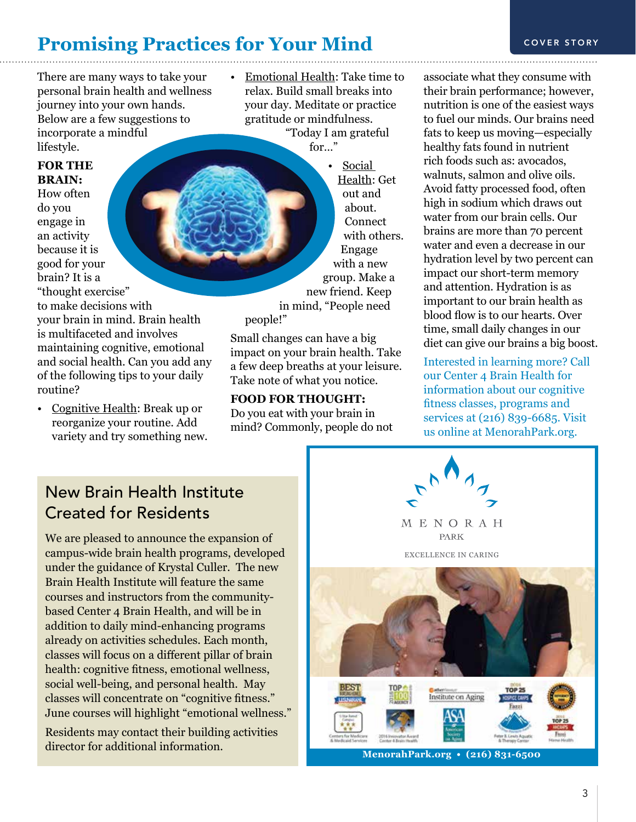# **Promising Practices for Your Mind** COVER STORY

There are many ways to take your personal brain health and wellness journey into your own hands. Below are a few suggestions to incorporate a mindful lifestyle.

### **FOR THE BRAIN:**

How often do you engage in an activity because it is good for your brain? It is a "thought exercise" to make decisions with your brain in mind. Brain health is multifaceted and involves maintaining cognitive, emotional and social health. Can you add any of the following tips to your daily routine?

• Cognitive Health: Break up or reorganize your routine. Add variety and try something new.

• Emotional Health: Take time to relax. Build small breaks into your day. Meditate or practice gratitude or mindfulness. "Today I am grateful

for…"

• Social Health: Get out and about. **Connect** with others. Engage with a new group. Make a new friend. Keep in mind, "People need people!"

Small changes can have a big impact on your brain health. Take a few deep breaths at your leisure. Take note of what you notice.

**FOOD FOR THOUGHT:** Do you eat with your brain in mind? Commonly, people do not

associate what they consume with their brain performance; however, nutrition is one of the easiest ways to fuel our minds. Our brains need fats to keep us moving—especially healthy fats found in nutrient rich foods such as: avocados, walnuts, salmon and olive oils. Avoid fatty processed food, often high in sodium which draws out water from our brain cells. Our brains are more than 70 percent water and even a decrease in our hydration level by two percent can impact our short-term memory and attention. Hydration is as important to our brain health as blood flow is to our hearts. Over time, small daily changes in our diet can give our brains a big boost.

Interested in learning more? Call our Center 4 Brain Health for information about our cognitive fitness classes, programs and services at (216) 839-6685. Visit us online at MenorahPark.org.



We are pleased to announce the expansion of campus-wide brain health programs, developed under the guidance of Krystal Culler. The new Brain Health Institute will feature the same courses and instructors from the communitybased Center 4 Brain Health, and will be in addition to daily mind-enhancing programs already on activities schedules. Each month, classes will focus on a different pillar of brain health: cognitive fitness, emotional wellness, social well-being, and personal health. May classes will concentrate on "cognitive fitness." June courses will highlight "emotional wellness."

Residents may contact their building activities director for additional information.



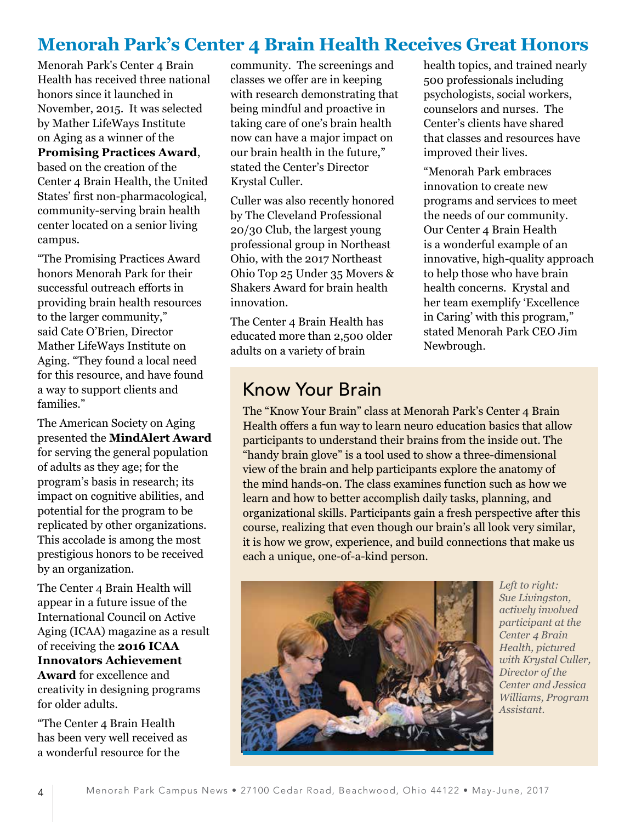# **Menorah Park's Center 4 Brain Health Receives Great Honors**

Menorah Park's Center 4 Brain Health has received three national honors since it launched in November, 2015. It was selected by Mather LifeWays Institute on Aging as a winner of the **Promising Practices Award**, based on the creation of the Center 4 Brain Health, the United States' first non-pharmacological, community-serving brain health center located on a senior living campus.

"The Promising Practices Award honors Menorah Park for their successful outreach efforts in providing brain health resources to the larger community," said Cate O'Brien, Director Mather LifeWays Institute on Aging. "They found a local need for this resource, and have found a way to support clients and families."

The American Society on Aging presented the **MindAlert Award** for serving the general population of adults as they age; for the program's basis in research; its impact on cognitive abilities, and potential for the program to be replicated by other organizations. This accolade is among the most prestigious honors to be received by an organization.

The Center 4 Brain Health will appear in a future issue of the International Council on Active Aging (ICAA) magazine as a result of receiving the **2016 ICAA Innovators Achievement Award** for excellence and creativity in designing programs for older adults.

"The Center 4 Brain Health has been very well received as a wonderful resource for the

community. The screenings and classes we offer are in keeping with research demonstrating that being mindful and proactive in taking care of one's brain health now can have a major impact on our brain health in the future," stated the Center's Director Krystal Culler.

Culler was also recently honored by The Cleveland Professional 20/30 Club, the largest young professional group in Northeast Ohio, with the 2017 Northeast Ohio Top 25 Under 35 Movers & Shakers Award for brain health innovation.

The Center 4 Brain Health has educated more than 2,500 older adults on a variety of brain

# Know Your Brain

health topics, and trained nearly 500 professionals including psychologists, social workers, counselors and nurses. The Center's clients have shared that classes and resources have improved their lives.

"Menorah Park embraces innovation to create new programs and services to meet the needs of our community. Our Center 4 Brain Health is a wonderful example of an innovative, high-quality approach to help those who have brain health concerns. Krystal and her team exemplify 'Excellence in Caring' with this program," stated Menorah Park CEO Jim Newbrough.

The "Know Your Brain" class at Menorah Park's Center 4 Brain Health offers a fun way to learn neuro education basics that allow participants to understand their brains from the inside out. The "handy brain glove" is a tool used to show a three-dimensional view of the brain and help participants explore the anatomy of the mind hands-on. The class examines function such as how we learn and how to better accomplish daily tasks, planning, and organizational skills. Participants gain a fresh perspective after this course, realizing that even though our brain's all look very similar, it is how we grow, experience, and build connections that make us each a unique, one-of-a-kind person.



*Left to right: Sue Livingston, actively involved participant at the Center 4 Brain Health, pictured with Krystal Culler, Director of the Center and Jessica Williams, Program Assistant.*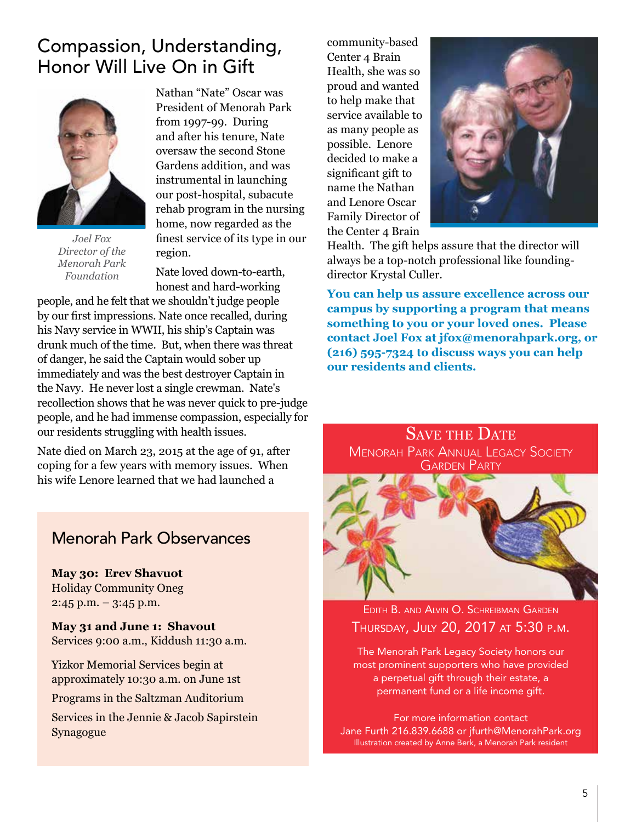# Compassion, Understanding, Honor Will Live On in Gift



*Joel Fox Director of the Menorah Park Foundation*

Nathan "Nate" Oscar was President of Menorah Park from 1997-99. During and after his tenure, Nate oversaw the second Stone Gardens addition, and was instrumental in launching our post-hospital, subacute rehab program in the nursing home, now regarded as the finest service of its type in our region.

Nate loved down-to-earth, honest and hard-working

people, and he felt that we shouldn't judge people by our first impressions. Nate once recalled, during his Navy service in WWII, his ship's Captain was drunk much of the time. But, when there was threat of danger, he said the Captain would sober up immediately and was the best destroyer Captain in the Navy. He never lost a single crewman. Nate's recollection shows that he was never quick to pre-judge people, and he had immense compassion, especially for our residents struggling with health issues.

Nate died on March 23, 2015 at the age of 91, after coping for a few years with memory issues. When his wife Lenore learned that we had launched a

# Menorah Park Observances

**May 30: Erev Shavuot** Holiday Community Oneg 2:45 p.m. – 3:45 p.m.

**May 31 and June 1: Shavout** Services 9:00 a.m., Kiddush 11:30 a.m.

Yizkor Memorial Services begin at approximately 10:30 a.m. on June 1st

Programs in the Saltzman Auditorium

Services in the Jennie & Jacob Sapirstein Synagogue

community-based Center 4 Brain Health, she was so proud and wanted to help make that service available to as many people as possible. Lenore decided to make a significant gift to name the Nathan and Lenore Oscar Family Director of the Center 4 Brain



Health. The gift helps assure that the director will always be a top-notch professional like foundingdirector Krystal Culler.

**You can help us assure excellence across our campus by supporting a program that means something to you or your loved ones. Please contact Joel Fox at jfox@menorahpark.org, or (216) 595-7324 to discuss ways you can help our residents and clients.**

SAVE THE DATE **MENORAH PARK ANNUAL LEGACY SOCIETY GARDEN PARTY** 



EDITH B. AND ALVIN O. SCHREIBMAN GARDEN thurSday, July 20, 2017 at 5:30 p.m.

The Menorah Park Legacy Society honors our most prominent supporters who have provided a perpetual gift through their estate, a permanent fund or a life income gift.

For more information contact Jane Furth 216.839.6688 or jfurth@MenorahPark.org Illustration created by Anne Berk, a Menorah Park resident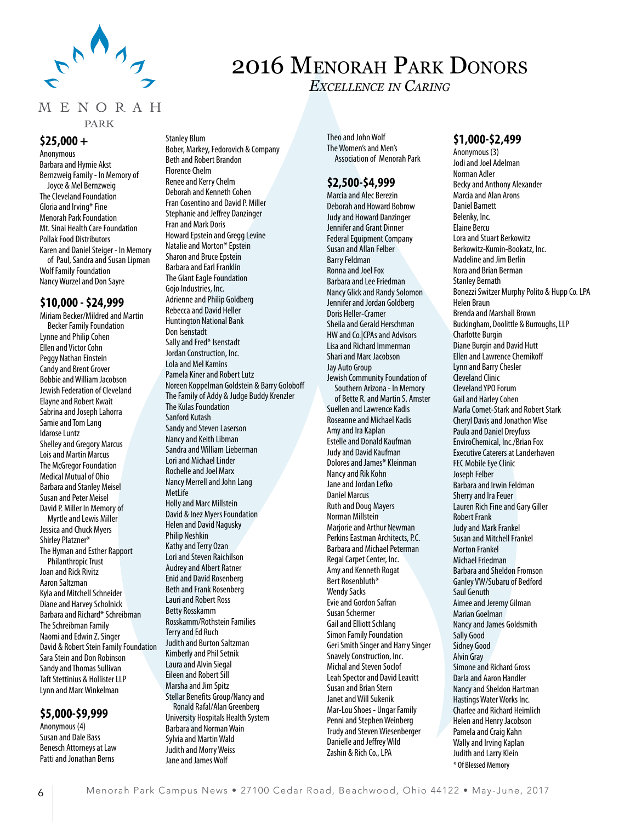

# 2016 Menorah Park Donors

*Excellence in Caring*

#### MENORAH

**PARK** 

Stanley Blum

#### **\$25,000 +**

Anonymous Barbara and Hymie Akst Bernzweig Family - In Memory of Joyce & Mel Bernzweig The Cleveland Foundation Gloria and Irving\* Fine Menorah Park Foundation Mt. Sinai Health Care Foundation Pollak Food Distributors Karen and Daniel Steiger - In Memory of Paul, Sandra and Susan Lipman Wolf Family Foundation Nancy Wurzel and Don Sayre

#### **\$10,000 - \$24,999**

Miriam Becker/Mildred and Martin Becker Family Foundation Lynne and Philip Cohen Ellen and Victor Cohn Peggy Nathan Einstein Candy and Brent Grover Bobbie and William Jacobson Jewish Federation of Cleveland Elayne and Robert Kwait Sabrina and Joseph Lahorra Samie and Tom Lang Idarose Luntz Shelley and Gregory Marcus Lois and Martin Marcus The McGregor Foundation Medical Mutual of Ohio Barbara and Stanley Meisel Susan and Peter Meisel David P. Miller In Memory of Myrtle and Lewis Miller

Jessica and Chuck Myers Shirley Platzner\* The Hyman and Esther Rapport Philanthropic Trust Joan and Rick Rivitz Aaron Saltzman Kyla and Mitchell Schneider Diane and Harvey Scholnick Barbara and Richard\* Schreibman The Schreibman Family Naomi and Edwin Z. Singer David & Robert Stein Family Foundation Sara Stein and Don Robinson Sandy and Thomas Sullivan Taft Stettinius & Hollister LLP Lynn and Marc Winkelman

### **\$5,000-\$9,999**

Anonymous (4) Susan and Dale Bass Benesch Attorneys at Law Patti and Jonathan Berns

Bober, Markey, Fedorovich & Company Beth and Robert Brandon Florence Chelm

Renee and Kerry Chelm Deborah and Kenneth Cohen Fran Cosentino and David P. Miller Stephanie and Jeffrey Danzinger Fran and Mark Doris Howard Epstein and Gregg Levine Natalie and Morton\* Epstein Sharon and Bruce Epstein Barbara and Earl Franklin The Giant Eagle Foundation Gojo Industries, Inc. Adrienne and Philip Goldberg Rebecca and David Heller Huntington National Bank Don Isenstadt Sally and Fred\* Isenstadt Jordan Construction, Inc. Lola and Mel Kamins Pamela Kiner and Robert Lutz Noreen Koppelman Goldstein & Barry Goloboff The Family of Addy & Judge Buddy Krenzler The Kulas Foundation Sanford Kutash Sandy and Steven Laserson Nancy and Keith Libman Sandra and William Lieberman Lori and Michael Linder Rochelle and Joel Marx Nancy Merrell and John Lang MetLife Holly and Marc Millstein David & Inez Myers Foundation Helen and David Nagusky Philip Neshkin Kathy and Terry Ozan Lori and Steven Raichilson Audrey and Albert Ratner Enid and David Rosenberg Beth and Frank Rosenberg Lauri and Robert Ross Betty Rosskamm Rosskamm/Rothstein Families Terry and Ed Ruch Judith and Burton Saltzman Kimberly and Phil Setnik Laura and Alvin Siegal Eileen and Robert Sill Marsha and Jim Spitz Stellar Benefits Group/Nancy and Ronald Rafal/Alan Greenberg University Hospitals Health System Barbara and Norman Wain Sylvia and Martin Wald Judith and Morry Weiss

Jane and James Wolf

Theo and John Wolf The Women's and Men's Association of Menorah Park

### **\$2,500-\$4,999**

Marcia and Alec Berezin Deborah and Howard Bobrow Judy and Howard Danzinger Jennifer and Grant Dinner Federal Equipment Company Susan and Allan Felber Barry Feldman Ronna and Joel Fox Barbara and Lee Friedman Nancy Glick and Randy Solomon Jennifer and Jordan Goldberg Doris Heller-Cramer Sheila and Gerald Herschman HW and Co.|CPAs and Advisors Lisa and Richard Immerman Shari and Marc Jacobson Jay Auto Group Jewish Community Foundation of Southern Arizona - In Memory of Bette R. and Martin S. Amster Suellen and Lawrence Kadis Roseanne and Michael Kadis Amy and Ira Kaplan Estelle and Donald Kaufman Judy and David Kaufman Dolores and James\* Kleinman Nancy and Rik Kohn Jane and Jordan Lefko Daniel Marcus Ruth and Doug Mayers Norman Millstein Marjorie and Arthur Newman Perkins Eastman Architects, P.C. Barbara and Michael Peterman Regal Carpet Center, Inc. Amy and Kenneth Rogat Bert Rosenbluth\* Wendy Sacks Evie and Gordon Safran Susan Schermer Gail and Elliott Schlang Simon Family Foundation Geri Smith Singer and Harry Singer Snavely Construction, Inc. Michal and Steven Soclof Leah Spector and David Leavitt Susan and Brian Stern Janet and Will Sukenik Mar-Lou Shoes - Ungar Family Penni and Stephen Weinberg Trudy and Steven Wiesenberger Danielle and Jeffrey Wild Zashin & Rich Co., LPA

### **\$1,000-\$2,499**

Anonymous (3) Jodi and Joel Adelman Norman Adler Becky and Anthony Alexander Marcia and Alan Arons Daniel Barnett Belenky, Inc. Elaine Bercu Lora and Stuart Berkowitz Berkowitz-Kumin-Bookatz, Inc. Madeline and Jim Berlin Nora and Brian Berman Stanley Bernath Bonezzi Switzer Murphy Polito & Hupp Co. LPA Helen Braun Brenda and Marshall Brown Buckingham, Doolittle & Burroughs, LLP Charlotte Burgin Diane Burgin and David Hutt Ellen and Lawrence Chernikoff Lynn and Barry Chesler Cleveland Clinic Cleveland YPO Forum Gail and Harley Cohen Marla Comet-Stark and Robert Stark Cheryl Davis and Jonathon Wise Paula and Daniel Dreyfuss EnviroChemical, Inc./Brian Fox Executive Caterers at Landerhaven FEC Mobile Eye Clinic Joseph Felber Barbara and Irwin Feldman Sherry and Ira Feuer Lauren Rich Fine and Gary Giller Robert Frank Judy and Mark Frankel Susan and Mitchell Frankel Morton Frankel Michael Friedman Barbara and Sheldon Fromson Ganley VW/Subaru of Bedford Saul Genuth Aimee and Jeremy Gilman Marian Goelman Nancy and James Goldsmith Sally Good Sidney Good Alvin Gray Simone and Richard Gross Darla and Aaron Handler Nancy and Sheldon Hartman Hastings Water Works Inc. Charlee and Richard Heimlich Helen and Henry Jacobson Pamela and Craig Kahn Wally and Irving Kaplan Judith and Larry Klein \* Of Blessed Memory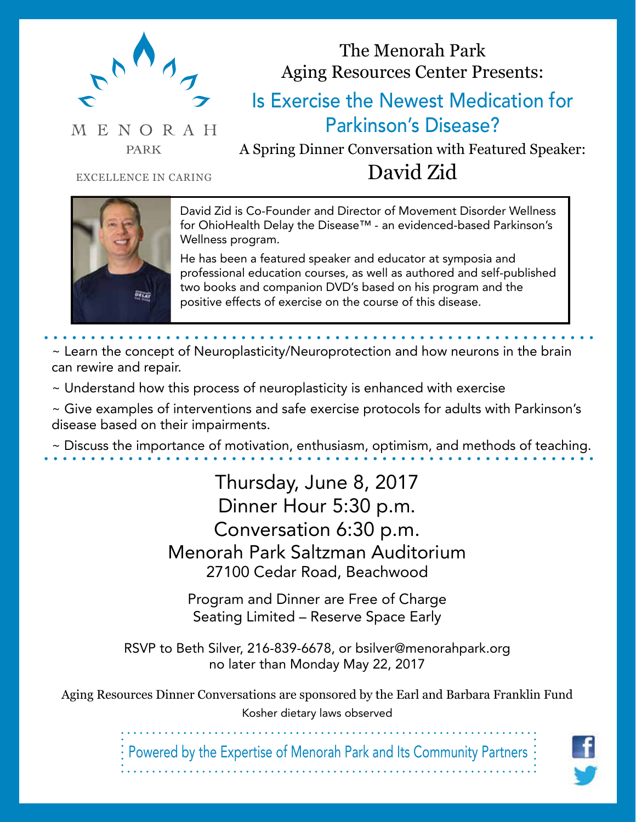

# The Menorah Park Aging Resources Center Presents:

# Is Exercise the Newest Medication for Parkinson's Disease?

**PARK** 

A Spring Dinner Conversation with Featured Speaker: EXCELLENCE IN CARING David Zid

MENORAH



David Zid is Co-Founder and Director of Movement Disorder Wellness for OhioHealth Delay the Disease™ - an evidenced-based Parkinson's Wellness program.

He has been a featured speaker and educator at symposia and professional education courses, as well as authored and self-published two books and companion DVD's based on his program and the positive effects of exercise on the course of this disease.

~ Learn the concept of Neuroplasticity/Neuroprotection and how neurons in the brain can rewire and repair.

~ Understand how this process of neuroplasticity is enhanced with exercise

~ Give examples of interventions and safe exercise protocols for adults with Parkinson's disease based on their impairments.

~ Discuss the importance of motivation, enthusiasm, optimism, and methods of teaching.

Thursday, June 8, 2017 Dinner Hour 5:30 p.m. Conversation 6:30 p.m. Menorah Park Saltzman Auditorium 27100 Cedar Road, Beachwood

Program and Dinner are Free of Charge Seating Limited – Reserve Space Early

RSVP to Beth Silver, 216-839-6678, or bsilver@menorahpark.org no later than Monday May 22, 2017

Aging Resources Dinner Conversations are sponsored by the Earl and Barbara Franklin Fund Kosher dietary laws observed

Powered by the Expertise of Menorah Park and Its Community Partners

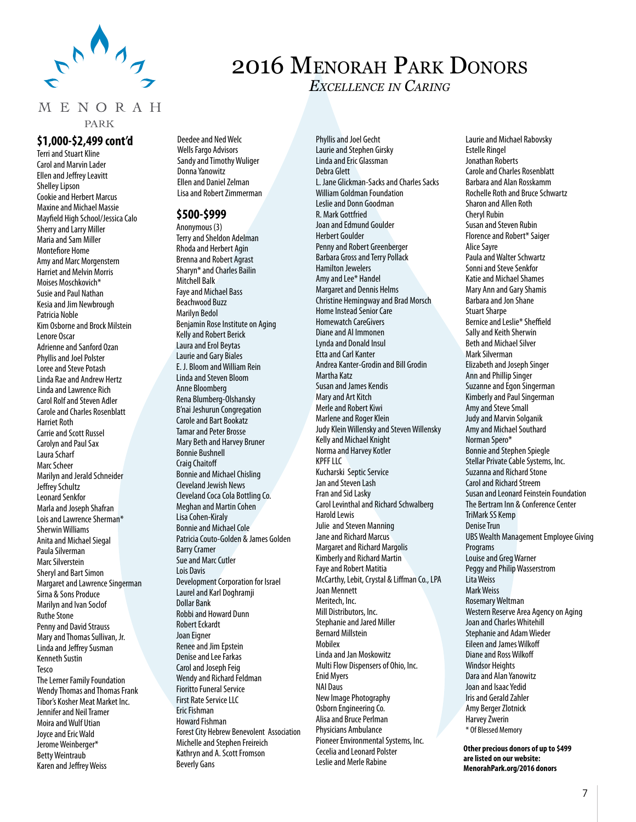

### MENORAH

**PARK** 

### **\$1,000-\$2,499 cont'd**

Terri and Stuart Kline Carol and Marvin Lader Ellen and Jeffrey Leavitt Shelley Lipson Cookie and Herbert Marcus Maxine and Michael Massie Mayfield High School/Jessica Calo Sherry and Larry Miller Maria and Sam Miller Montefiore Home Amy and Marc Morgenstern Harriet and Melvin Morris Moises Moschkovich\* Susie and Paul Nathan Kesia and Jim Newbrough Patricia Noble Kim Osborne and Brock Milstein Lenore Oscar Adrienne and Sanford Ozan Phyllis and Joel Polster Loree and Steve Potash Linda Rae and Andrew Hertz Linda and Lawrence Rich Carol Rolf and Steven Adler Carole and Charles Rosenblatt Harriet Roth Carrie and Scott Russel Carolyn and Paul Sax Laura Scharf Marc Scheer Marilyn and Jerald Schneider Jeffrey Schultz Leonard Senkfor Marla and Joseph Shafran Lois and Lawrence Sherman\* Sherwin Williams Anita and Michael Siegal Paula Silverman Marc Silverstein Sheryl and Bart Simon Margaret and Lawrence Singerman Sirna & Sons Produce Marilyn and Ivan Soclof Ruthe Stone Penny and David Strauss Mary and Thomas Sullivan, Jr. Linda and Jeffrey Susman Kenneth Sustin Tesco The Lerner Family Foundation Wendy Thomas and Thomas Frank Tibor's Kosher Meat Market Inc. Jennifer and Neil Tramer Moira and Wulf Utian Joyce and Eric Wald Jerome Weinberger\* Betty Weintraub Karen and Jeffrey Weiss

Deedee and Ned Welc Wells Fargo Advisors Sandy and Timothy Wuliger Donna Yanowitz Ellen and Daniel Zelman Lisa and Robert Zimmerman

#### **\$500-\$999**

Anonymous (3) Terry and Sheldon Adelman Rhoda and Herbert Agin Brenna and Robert Agrast Sharyn\* and Charles Bailin Mitchell Balk Faye and Michael Bass Beachwood Buzz Marilyn Bedol Benjamin Rose Institute on Aging Kelly and Robert Berick Laura and Erol Beytas Laurie and Gary Biales E. J. Bloom and William Rein Linda and Steven Bloom Anne Bloomberg Rena Blumberg-Olshansky B'nai Jeshurun Congregation Carole and Bart Bookatz Tamar and Peter Brosse Mary Beth and Harvey Bruner Bonnie Bushnell Craig Chaitoff Bonnie and Michael Chisling Cleveland Jewish News Cleveland Coca Cola Bottling Co. Meghan and Martin Cohen Lisa Cohen-Kiraly Bonnie and Michael Cole Patricia Couto-Golden & James Golden Barry Cramer Sue and Marc Cutler Lois Davis Development Corporation for Israel Laurel and Karl Doghramji Dollar Bank Robbi and Howard Dunn Robert Eckardt Joan Eigner Renee and Jim Epstein Denise and Lee Farkas Carol and Joseph Feig Wendy and Richard Feldman Fioritto Funeral Service First Rate Service LLC Eric Fishman Howard Fishman Forest City Hebrew Benevolent Association Michelle and Stephen Freireich Kathryn and A. Scott Fromson Beverly Gans

Phyllis and Joel Gecht Laurie and Stephen Girsky Linda and Eric Glassman Debra Glett L. Jane Glickman-Sacks and Charles Sacks William Goldman Foundation Leslie and Donn Goodman R. Mark Gottfried Joan and Edmund Goulder Herbert Goulder Penny and Robert Greenberger Barbara Gross and Terry Pollack Hamilton Jewelers Amy and Lee\* Handel Margaret and Dennis Helms Christine Hemingway and Brad Morsch Home Instead Senior Care Homewatch CareGivers Diane and Al Immonen Lynda and Donald Insul Etta and Carl Kanter Andrea Kanter-Grodin and Bill Grodin Martha Katz Susan and James Kendis Mary and Art Kitch Merle and Robert Kiwi Marlene and Roger Klein Judy Klein Willensky and Steven Willensky Kelly and Michael Knight Norma and Harvey Kotler KPFF IIC Kucharski Septic Service Jan and Steven Lash Fran and Sid Lasky Carol Levinthal and Richard Schwalberg Harold Lewis Julie and Steven Manning Jane and Richard Marcus Margaret and Richard Margolis Kimberly and Richard Martin Faye and Robert Matitia McCarthy, Lebit, Crystal & Liffman Co., LPA Joan Mennett Meritech, Inc. Mill Distributors, Inc. Stephanie and Jared Miller Bernard Millstein Mobilex Linda and Jan Moskowitz Multi Flow Dispensers of Ohio, Inc. Enid Myers NAI Daus New Image Photography Osborn Engineering Co. Alisa and Bruce Perlman Physicians Ambulance Pioneer Environmental Systems, Inc. Cecelia and Leonard Polster Leslie and Merle Rabine

2016 Menorah Park Donors

*Excellence in Caring*

Laurie and Michael Rabovsky Estelle Ringel Jonathan Roberts Carole and Charles Rosenblatt Barbara and Alan Rosskamm Rochelle Roth and Bruce Schwartz Sharon and Allen Roth Cheryl Rubin Susan and Steven Rubin Florence and Robert\* Saiger Alice Sayre Paula and Walter Schwartz Sonni and Steve Senkfor Katie and Michael Shames Mary Ann and Gary Shamis Barbara and Jon Shane Stuart Sharpe Bernice and Leslie\* Sheffield Sally and Keith Sherwin Beth and Michael Silver Mark Silverman Elizabeth and Joseph Singer Ann and Phillip Singer Suzanne and Egon Singerman Kimberly and Paul Singerman Amy and Steve Small Judy and Marvin Solganik Amy and Michael Southard Norman Spero\* Bonnie and Stephen Spiegle Stellar Private Cable Systems, Inc. Suzanna and Richard Stone Carol and Richard Streem Susan and Leonard Feinstein Foundation The Bertram Inn & Conference Center TriMark SS Kemp Denise Trun UBS Wealth Management Employee Giving Programs Louise and Greg Warner Peggy and Philip Wasserstrom Lita Weiss Mark Weiss Rosemary Weltman Western Reserve Area Agency on Aging Joan and Charles Whitehill Stephanie and Adam Wieder Eileen and James Wilkoff Diane and Ross Wilkoff Windsor Heights Dara and Alan Yanowitz Joan and Isaac Yedid Iris and Gerald Zahler Amy Berger Zlotnick Harvey Zwerin \* Of Blessed Memory

**Other precious donors of up to \$499 are listed on our website: MenorahPark.org/2016 donors**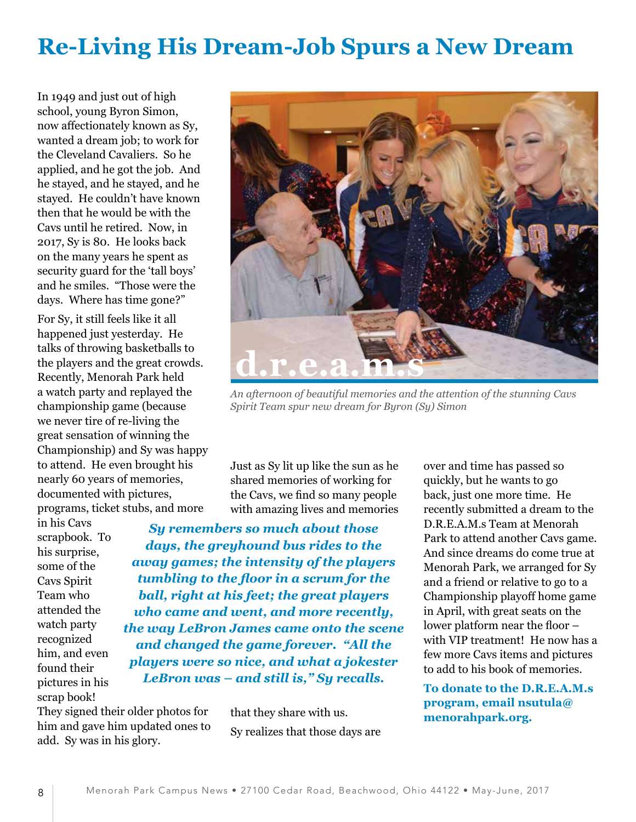# **Re-Living His Dream-Job Spurs a New Dream**

In 1949 and just out of high school, young Byron Simon, now affectionately known as Sy, wanted a dream job; to work for the Cleveland Cavaliers. So he applied, and he got the job. And he stayed, and he stayed, and he stayed. He couldn't have known then that he would be with the Cavs until he retired. Now, in 2017, Sy is 80. He looks back on the many years he spent as security guard for the 'tall boys' and he smiles. "Those were the days. Where has time gone?"

For Sy, it still feels like it all happened just yesterday. He talks of throwing basketballs to the players and the great crowds. Recently, Menorah Park held a watch party and replayed the championship game (because we never tire of re-living the great sensation of winning the Championship) and Sy was happy to attend. He even brought his nearly 60 years of memories, documented with pictures, programs, ticket stubs, and more

in his Cavs scrapbook. To his surprise, some of the Cavs Spirit Team who attended the watch party recognized him, and even found their pictures in his scrap book!



*An afternoon of beautiful memories and the attention of the stunning Cavs Spirit Team spur new dream for Byron (Sy) Simon*

Just as Sy lit up like the sun as he shared memories of working for the Cavs, we find so many people with amazing lives and memories

*Sy remembers so much about those days, the greyhound bus rides to the away games; the intensity of the players tumbling to the floor in a scrum for the ball, right at his feet; the great players who came and went, and more recently, the way LeBron James came onto the scene and changed the game forever. "All the players were so nice, and what a jokester LeBron was – and still is," Sy recalls.*

They signed their older photos for him and gave him updated ones to add. Sy was in his glory.

that they share with us. Sy realizes that those days are over and time has passed so quickly, but he wants to go back, just one more time. He recently submitted a dream to the D.R.E.A.M.s Team at Menorah Park to attend another Cavs game. And since dreams do come true at Menorah Park, we arranged for Sy and a friend or relative to go to a Championship playoff home game in April, with great seats on the lower platform near the floor – with VIP treatment! He now has a few more Cavs items and pictures to add to his book of memories.

**To donate to the D.R.E.A.M.s program, email nsutula@ menorahpark.org.**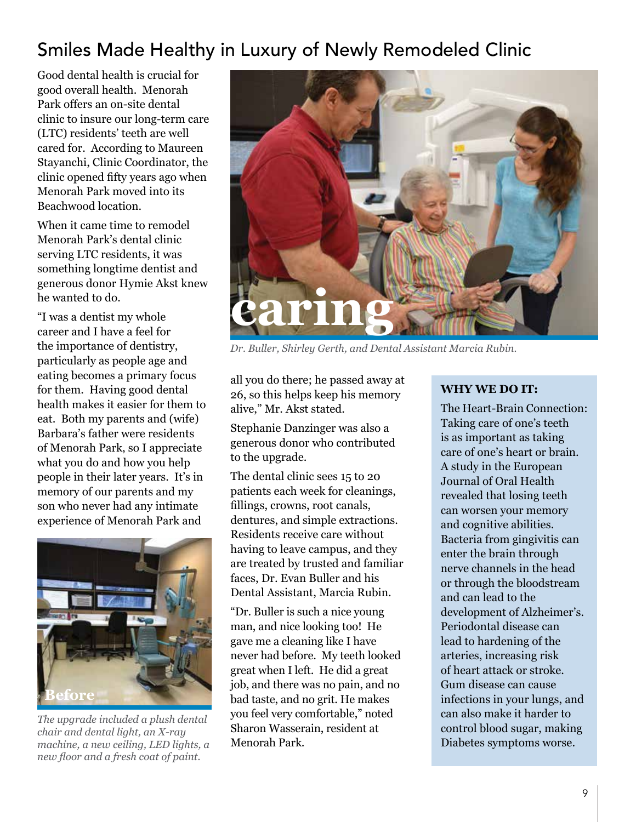# Smiles Made Healthy in Luxury of Newly Remodeled Clinic

Good dental health is crucial for good overall health. Menorah Park offers an on-site dental clinic to insure our long-term care (LTC) residents' teeth are well cared for. According to Maureen Stayanchi, Clinic Coordinator, the clinic opened fifty years ago when Menorah Park moved into its Beachwood location.

When it came time to remodel Menorah Park's dental clinic serving LTC residents, it was something longtime dentist and generous donor Hymie Akst knew he wanted to do.

"I was a dentist my whole career and I have a feel for the importance of dentistry, particularly as people age and eating becomes a primary focus for them. Having good dental health makes it easier for them to eat. Both my parents and (wife) Barbara's father were residents of Menorah Park, so I appreciate what you do and how you help people in their later years. It's in memory of our parents and my son who never had any intimate experience of Menorah Park and



*The upgrade included a plush dental chair and dental light, an X-ray machine, a new ceiling, LED lights, a new floor and a fresh coat of paint.*



*Dr. Buller, Shirley Gerth, and Dental Assistant Marcia Rubin.*

all you do there; he passed away at 26, so this helps keep his memory alive," Mr. Akst stated.

Stephanie Danzinger was also a generous donor who contributed to the upgrade.

The dental clinic sees 15 to 20 patients each week for cleanings, fillings, crowns, root canals, dentures, and simple extractions. Residents receive care without having to leave campus, and they are treated by trusted and familiar faces, Dr. Evan Buller and his Dental Assistant, Marcia Rubin.

"Dr. Buller is such a nice young man, and nice looking too! He gave me a cleaning like I have never had before. My teeth looked great when I left. He did a great job, and there was no pain, and no bad taste, and no grit. He makes you feel very comfortable," noted Sharon Wasserain, resident at Menorah Park.

# **WHY WE DO IT:**

The Heart-Brain Connection: Taking care of one's teeth is as important as taking care of one's heart or brain. A study in the European Journal of Oral Health revealed that losing teeth can worsen your memory and cognitive abilities. Bacteria from gingivitis can enter the brain through nerve channels in the head or through the bloodstream and can lead to the development of Alzheimer's. Periodontal disease can lead to hardening of the arteries, increasing risk of heart attack or stroke. Gum disease can cause infections in your lungs, and can also make it harder to control blood sugar, making Diabetes symptoms worse.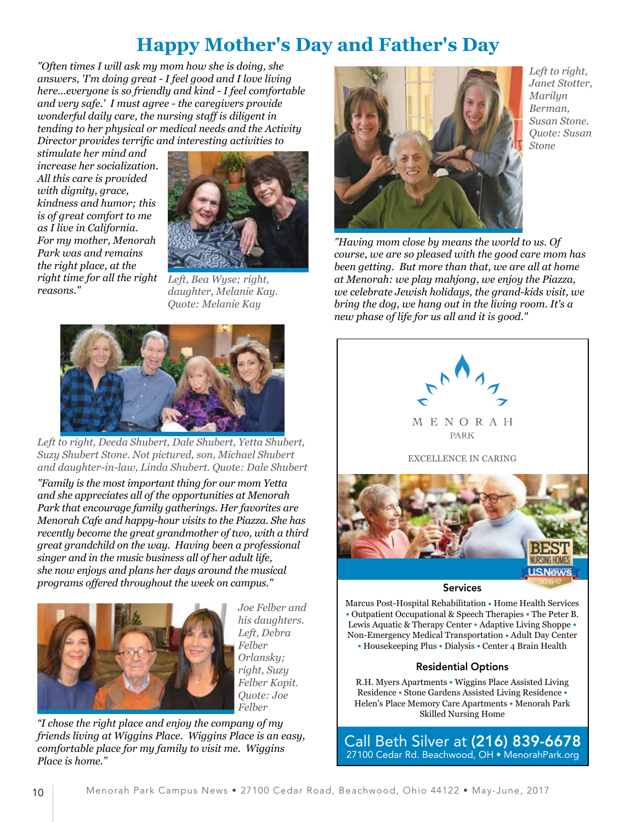# **Happy Mother's Day and Father's Day**

*"Often times I will ask my mom how she is doing, she answers, 'I'm doing great - I feel good and I love living here...everyone is so friendly and kind - I feel comfortable and very safe.' I must agree - the caregivers provide wonderful daily care, the nursing staff is diligent in tending to her physical or medical needs and the Activity Director provides terrific and interesting activities to* 

*stimulate her mind and increase her socialization. All this care is provided with dignity, grace, kindness and humor; this is of great comfort to me as I live in California. For my mother, Menorah Park was and remains the right place, at the right time for all the right reasons."*



*Left, Bea Wyse; right, daughter, Melanie Kay. Quote: Melanie Kay*



*Left to right, Deeda Shubert, Dale Shubert, Yetta Shubert, Suzy Shubert Stone. Not pictured, son, Michael Shubert and daughter-in-law, Linda Shubert. Quote: Dale Shubert*

*"Family is the most important thing for our mom Yetta and she appreciates all of the opportunities at Menorah Park that encourage family gatherings. Her favorites are Menorah Cafe and happy-hour visits to the Piazza. She has recently become the great grandmother of two, with a third great grandchild on the way. Having been a professional singer and in the music business all of her adult life, she now enjoys and plans her days around the musical programs offered throughout the week on campus."*



*Joe Felber and his daughters. Left, Debra Felber Orlansky; right, Suzy Felber Kopit. Quote: Joe Felber*

*"I chose the right place and enjoy the company of my friends living at Wiggins Place. Wiggins Place is an easy, comfortable place for my family to visit me. Wiggins Place is home."*



*Left to right, Janet Stotter, Marilyn Berman, Susan Stone. Quote: Susan Stone*

*"Having mom close by means the world to us. Of course, we are so pleased with the good care mom has been getting. But more than that, we are all at home at Menorah: we play mahjong, we enjoy the Piazza, we celebrate Jewish holidays, the grand-kids visit, we bring the dog, we hang out in the living room. It's a new phase of life for us all and it is good."*



Marcus Post-Hospital Rehabilitation ● Home Health Services • Outpatient Occupational & Speech Therapies • The Peter B. Lewis Aquatic & Therapy Center • Adaptive Living Shoppe • Non-Emergency Medical Transportation ● Adult Day Center • Housekeeping Plus • Dialysis • Center 4 Brain Health

### Residential Options

R.H. Myers Apartments ● Wiggins Place Assisted Living Residence ● Stone Gardens Assisted Living Residence ● Helen's Place Memory Care Apartments ● Menorah Park Skilled Nursing Home

Call Beth Silver at (216) 839-6678 27100 Cedar Rd. Beachwood, OH • MenorahPark.org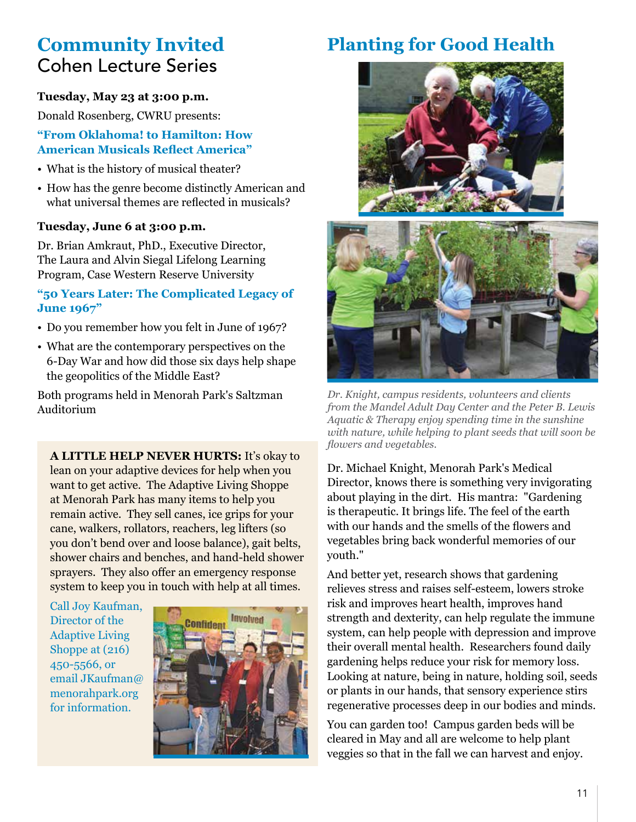# **Community Invited** Cohen Lecture Series

## **Tuesday, May 23 at 3:00 p.m.**

Donald Rosenberg, CWRU presents:

### **"From Oklahoma! to Hamilton: How American Musicals Reflect America"**

- What is the history of musical theater?
- How has the genre become distinctly American and what universal themes are reflected in musicals?

### **Tuesday, June 6 at 3:00 p.m.**

Dr. Brian Amkraut, PhD., Executive Director, The Laura and Alvin Siegal Lifelong Learning Program, Case Western Reserve University

### **"50 Years Later: The Complicated Legacy of June 1967"**

- Do you remember how you felt in June of 1967?
- What are the contemporary perspectives on the 6-Day War and how did those six days help shape the geopolitics of the Middle East?

Both programs held in Menorah Park's Saltzman Auditorium

**A LITTLE HELP NEVER HURTS:** It's okay to lean on your adaptive devices for help when you want to get active. The Adaptive Living Shoppe at Menorah Park has many items to help you remain active. They sell canes, ice grips for your cane, walkers, rollators, reachers, leg lifters (so you don't bend over and loose balance), gait belts, shower chairs and benches, and hand-held shower sprayers. They also offer an emergency response system to keep you in touch with help at all times.

Call Joy Kaufman, Director of the Adaptive Living Shoppe at (216) 450-5566, or email JKaufman@ menorahpark.org for information.



# **Planting for Good Health**





*Dr. Knight, campus residents, volunteers and clients from the Mandel Adult Day Center and the Peter B. Lewis Aquatic & Therapy enjoy spending time in the sunshine with nature, while helping to plant seeds that will soon be flowers and vegetables.*

Dr. Michael Knight, Menorah Park's Medical Director, knows there is something very invigorating about playing in the dirt. His mantra: "Gardening is therapeutic. It brings life. The feel of the earth with our hands and the smells of the flowers and vegetables bring back wonderful memories of our youth."

And better yet, research shows that gardening relieves stress and raises self-esteem, lowers stroke risk and improves heart health, improves hand strength and dexterity, can help regulate the immune system, can help people with depression and improve their overall mental health. Researchers found daily gardening helps reduce your risk for memory loss. Looking at nature, being in nature, holding soil, seeds or plants in our hands, that sensory experience stirs regenerative processes deep in our bodies and minds.

You can garden too! Campus garden beds will be cleared in May and all are welcome to help plant veggies so that in the fall we can harvest and enjoy.